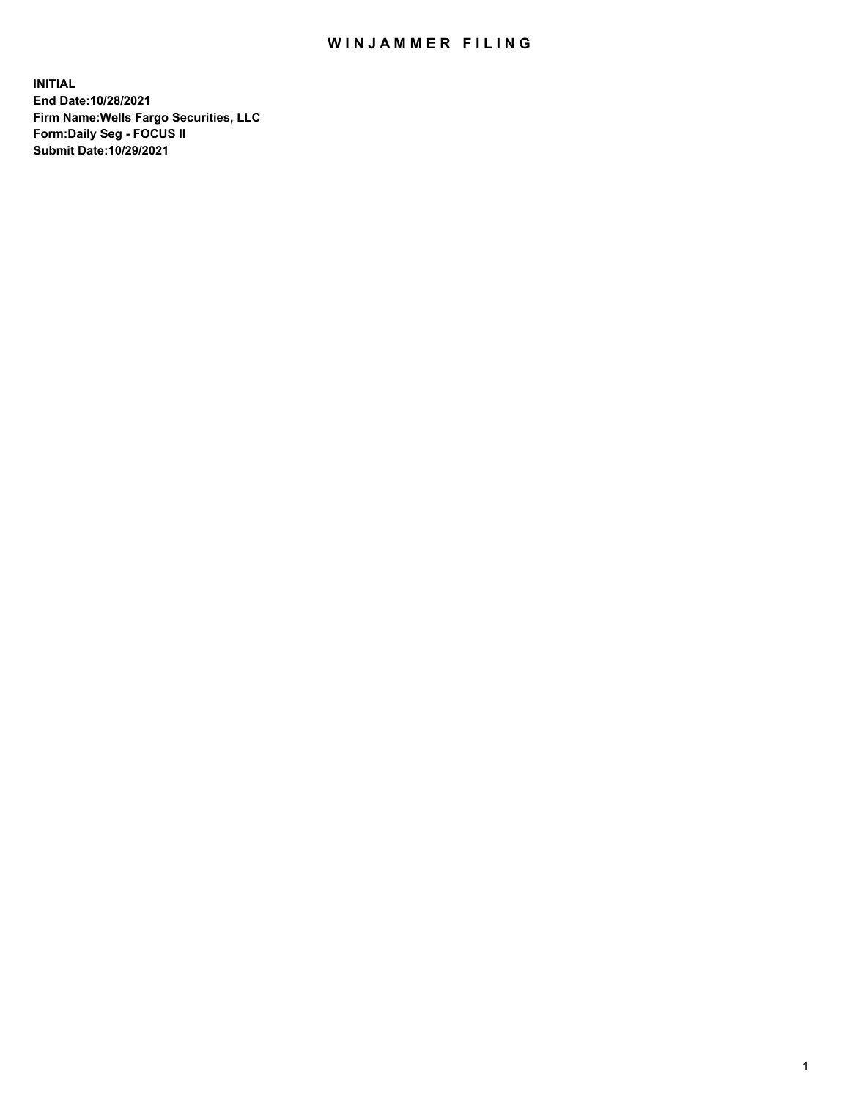## WIN JAMMER FILING

**INITIAL End Date:10/28/2021 Firm Name:Wells Fargo Securities, LLC Form:Daily Seg - FOCUS II Submit Date:10/29/2021**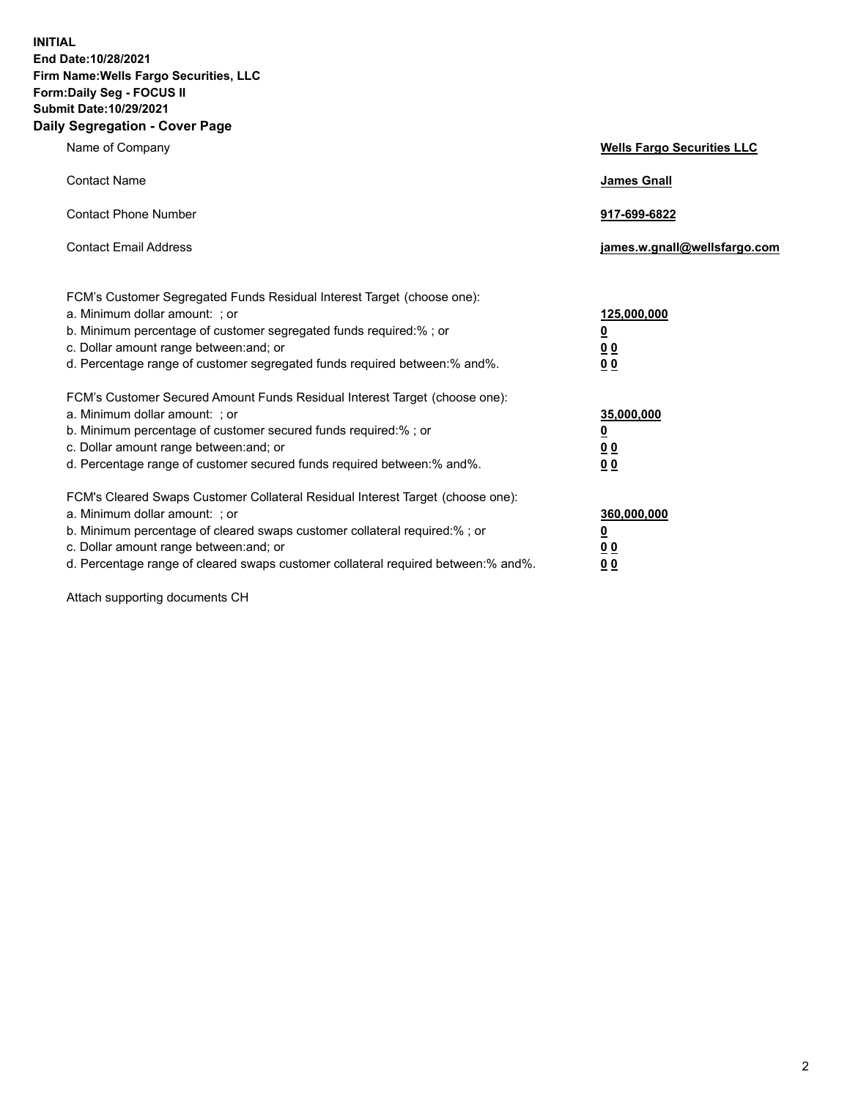**INITIAL End Date:10/28/2021 Firm Name:Wells Fargo Securities, LLC Form:Daily Seg - FOCUS II Submit Date:10/29/2021 Daily Segregation - Cover Page**

| Name of Company                                                                                                                                                                                                                                                                                                               | <b>Wells Fargo Securities LLC</b>                          |
|-------------------------------------------------------------------------------------------------------------------------------------------------------------------------------------------------------------------------------------------------------------------------------------------------------------------------------|------------------------------------------------------------|
| <b>Contact Name</b>                                                                                                                                                                                                                                                                                                           | <b>James Gnall</b>                                         |
| <b>Contact Phone Number</b>                                                                                                                                                                                                                                                                                                   | 917-699-6822                                               |
| <b>Contact Email Address</b>                                                                                                                                                                                                                                                                                                  | james.w.gnall@wellsfargo.com                               |
| FCM's Customer Segregated Funds Residual Interest Target (choose one):<br>a. Minimum dollar amount: ; or<br>b. Minimum percentage of customer segregated funds required:% ; or<br>c. Dollar amount range between: and; or<br>d. Percentage range of customer segregated funds required between:% and%.                        | 125,000,000<br><u>0</u><br>0 <sub>0</sub><br>00            |
| FCM's Customer Secured Amount Funds Residual Interest Target (choose one):<br>a. Minimum dollar amount: ; or<br>b. Minimum percentage of customer secured funds required:%; or<br>c. Dollar amount range between: and; or<br>d. Percentage range of customer secured funds required between: % and %.                         | 35,000,000<br><u>0</u><br>0 <sub>0</sub><br>0 <sub>0</sub> |
| FCM's Cleared Swaps Customer Collateral Residual Interest Target (choose one):<br>a. Minimum dollar amount: ; or<br>b. Minimum percentage of cleared swaps customer collateral required:%; or<br>c. Dollar amount range between: and; or<br>d. Percentage range of cleared swaps customer collateral required between:% and%. | 360,000,000<br><u>0</u><br>00<br>00                        |

Attach supporting documents CH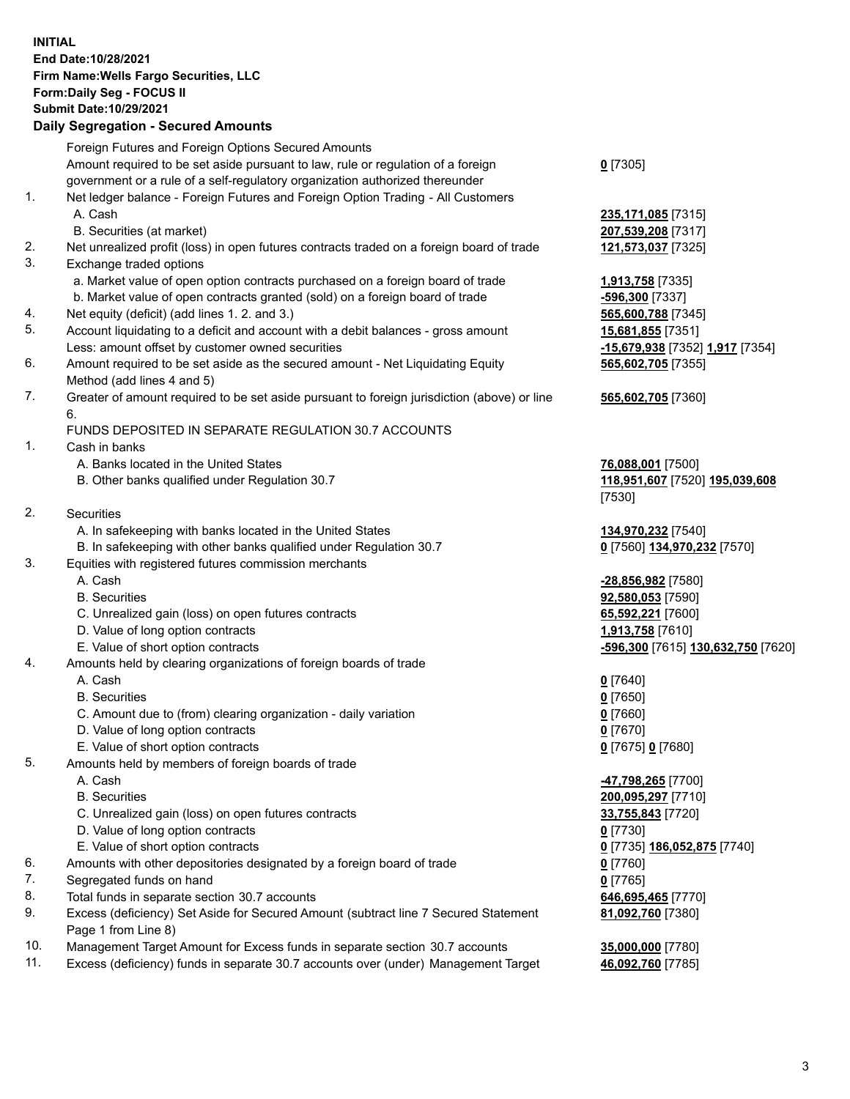**INITIAL End Date:10/28/2021 Firm Name:Wells Fargo Securities, LLC Form:Daily Seg - FOCUS II Submit Date:10/29/2021**

## **Daily Segregation - Secured Amounts**

|     | Foreign Futures and Foreign Options Secured Amounts                                         |                                    |
|-----|---------------------------------------------------------------------------------------------|------------------------------------|
|     | Amount required to be set aside pursuant to law, rule or regulation of a foreign            | $0$ [7305]                         |
|     | government or a rule of a self-regulatory organization authorized thereunder                |                                    |
| 1.  | Net ledger balance - Foreign Futures and Foreign Option Trading - All Customers             |                                    |
|     | A. Cash                                                                                     | 235,171,085 [7315]                 |
|     | B. Securities (at market)                                                                   | 207,539,208 [7317]                 |
| 2.  | Net unrealized profit (loss) in open futures contracts traded on a foreign board of trade   | 121,573,037 [7325]                 |
| 3.  | Exchange traded options                                                                     |                                    |
|     | a. Market value of open option contracts purchased on a foreign board of trade              | 1,913,758 [7335]                   |
|     | b. Market value of open contracts granted (sold) on a foreign board of trade                | -596,300 [7337]                    |
| 4.  | Net equity (deficit) (add lines 1. 2. and 3.)                                               | 565,600,788 [7345]                 |
| 5.  | Account liquidating to a deficit and account with a debit balances - gross amount           | 15,681,855 [7351]                  |
|     | Less: amount offset by customer owned securities                                            | -15,679,938 [7352] 1,917 [7354]    |
| 6.  | Amount required to be set aside as the secured amount - Net Liquidating Equity              | 565,602,705 [7355]                 |
|     | Method (add lines 4 and 5)                                                                  |                                    |
| 7.  | Greater of amount required to be set aside pursuant to foreign jurisdiction (above) or line | 565,602,705 [7360]                 |
|     | 6.                                                                                          |                                    |
|     | FUNDS DEPOSITED IN SEPARATE REGULATION 30.7 ACCOUNTS                                        |                                    |
| 1.  | Cash in banks                                                                               |                                    |
|     | A. Banks located in the United States                                                       | 76,088,001 [7500]                  |
|     | B. Other banks qualified under Regulation 30.7                                              | 118,951,607 [7520] 195,039,608     |
|     |                                                                                             | [7530]                             |
| 2.  | <b>Securities</b>                                                                           |                                    |
|     | A. In safekeeping with banks located in the United States                                   | 134,970,232 [7540]                 |
|     | B. In safekeeping with other banks qualified under Regulation 30.7                          | 0 [7560] 134,970,232 [7570]        |
| 3.  | Equities with registered futures commission merchants                                       |                                    |
|     | A. Cash                                                                                     | -28,856,982 [7580]                 |
|     | <b>B.</b> Securities                                                                        | 92,580,053 [7590]                  |
|     | C. Unrealized gain (loss) on open futures contracts                                         | 65,592,221 [7600]                  |
|     | D. Value of long option contracts                                                           | 1,913,758 [7610]                   |
|     | E. Value of short option contracts                                                          | -596,300 [7615] 130,632,750 [7620] |
| 4.  | Amounts held by clearing organizations of foreign boards of trade                           |                                    |
|     | A. Cash                                                                                     | $0$ [7640]                         |
|     | <b>B.</b> Securities                                                                        | $0$ [7650]                         |
|     | C. Amount due to (from) clearing organization - daily variation                             | $0$ [7660]                         |
|     | D. Value of long option contracts                                                           | $0$ [7670]                         |
|     | E. Value of short option contracts                                                          | 0 [7675] 0 [7680]                  |
| 5.  | Amounts held by members of foreign boards of trade                                          |                                    |
|     | A. Cash                                                                                     | 47,798,265 [7700]                  |
|     | <b>B.</b> Securities                                                                        | 200,095,297 [7710]                 |
|     | C. Unrealized gain (loss) on open futures contracts                                         | 33,755,843 [7720]                  |
|     | D. Value of long option contracts                                                           | $0$ [7730]                         |
|     | E. Value of short option contracts                                                          | 0 [7735] 186,052,875 [7740]        |
| 6.  | Amounts with other depositories designated by a foreign board of trade                      | $0$ [7760]                         |
| 7.  | Segregated funds on hand                                                                    | $0$ [7765]                         |
| 8.  | Total funds in separate section 30.7 accounts                                               | 646,695,465 [7770]                 |
| 9.  | Excess (deficiency) Set Aside for Secured Amount (subtract line 7 Secured Statement         | 81,092,760 [7380]                  |
|     | Page 1 from Line 8)                                                                         |                                    |
| 10. | Management Target Amount for Excess funds in separate section 30.7 accounts                 | 35,000,000 [7780]                  |

11. Excess (deficiency) funds in separate 30.7 accounts over (under) Management Target 46,092,760 [7785]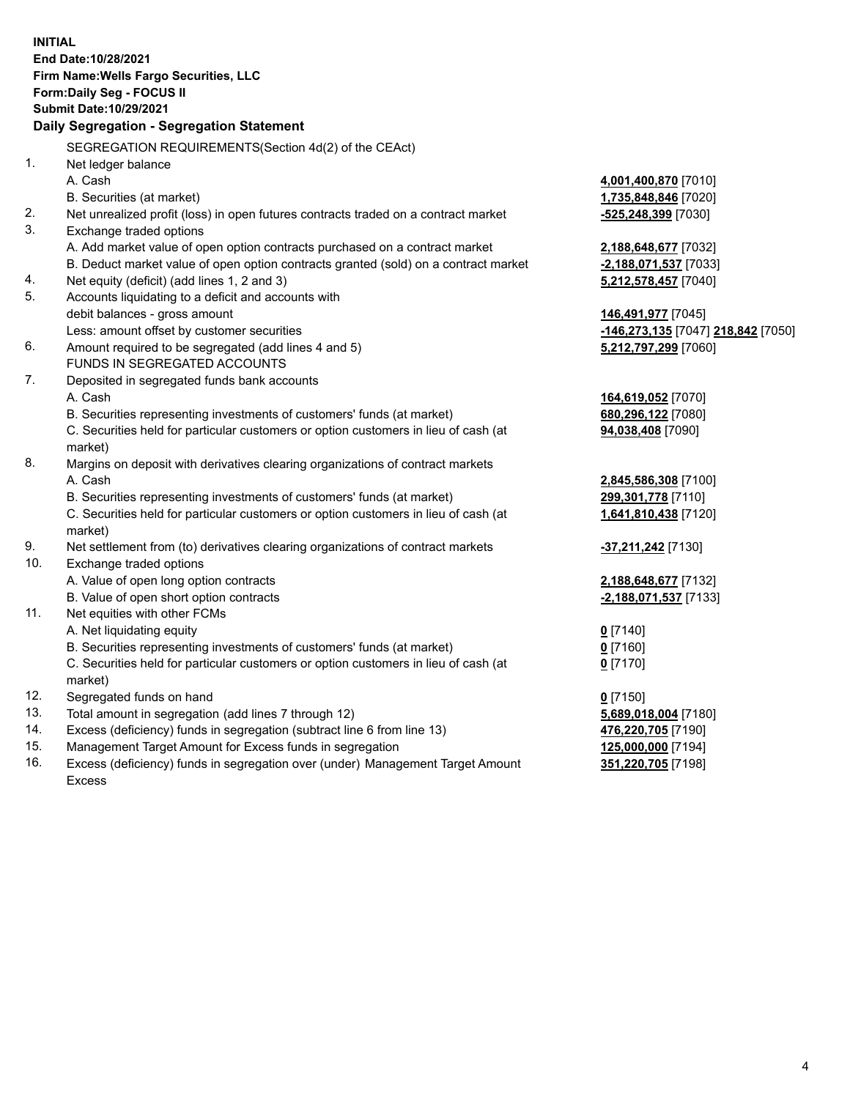**INITIAL End Date:10/28/2021 Firm Name:Wells Fargo Securities, LLC Form:Daily Seg - FOCUS II Submit Date:10/29/2021 Daily Segregation - Segregation Statement** SEGREGATION REQUIREMENTS(Section 4d(2) of the CEAct) 1. Net ledger balance A. Cash **4,001,400,870** [7010] B. Securities (at market) **1,735,848,846** [7020] 2. Net unrealized profit (loss) in open futures contracts traded on a contract market **-525,248,399** [7030] 3. Exchange traded options A. Add market value of open option contracts purchased on a contract market **2,188,648,677** [7032] B. Deduct market value of open option contracts granted (sold) on a contract market **-2,188,071,537** [7033] 4. Net equity (deficit) (add lines 1, 2 and 3) **5,212,578,457** [7040] 5. Accounts liquidating to a deficit and accounts with debit balances - gross amount **146,491,977** [7045] Less: amount offset by customer securities **-146,273,135** [7047] **218,842** [7050] 6. Amount required to be segregated (add lines 4 and 5) **5,212,797,299** [7060] FUNDS IN SEGREGATED ACCOUNTS 7. Deposited in segregated funds bank accounts A. Cash **164,619,052** [7070] B. Securities representing investments of customers' funds (at market) **680,296,122** [7080] C. Securities held for particular customers or option customers in lieu of cash (at market) **94,038,408** [7090] 8. Margins on deposit with derivatives clearing organizations of contract markets A. Cash **2,845,586,308** [7100] B. Securities representing investments of customers' funds (at market) **299,301,778** [7110] C. Securities held for particular customers or option customers in lieu of cash (at market) **1,641,810,438** [7120] 9. Net settlement from (to) derivatives clearing organizations of contract markets **-37,211,242** [7130] 10. Exchange traded options A. Value of open long option contracts **2,188,648,677** [7132] B. Value of open short option contracts **-2,188,071,537** [7133] 11. Net equities with other FCMs A. Net liquidating equity **0** [7140] B. Securities representing investments of customers' funds (at market) **0** [7160] C. Securities held for particular customers or option customers in lieu of cash (at market) **0** [7170]

- 12. Segregated funds on hand **0** [7150]
- 13. Total amount in segregation (add lines 7 through 12) **5,689,018,004** [7180]
- 14. Excess (deficiency) funds in segregation (subtract line 6 from line 13) **476,220,705** [7190]
- 15. Management Target Amount for Excess funds in segregation **125,000,000** [7194]
- 16. Excess (deficiency) funds in segregation over (under) Management Target Amount Excess

**351,220,705** [7198]